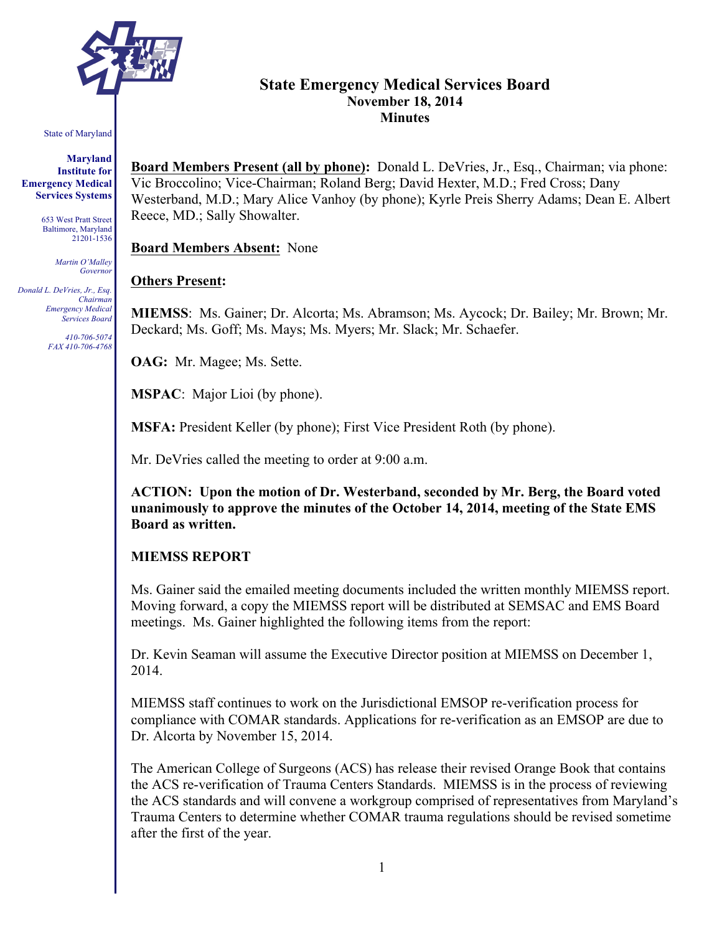

# **State Emergency Medical Services Board November 18, 2014 Minutes**

#### State of Maryland

**Maryland Institute for Emergency Medical Services Systems**

> 653 West Pratt Street Baltimore, Maryland 21201-1536

> > *Martin O'Malley Governor*

*Donald L. DeVries, Jr., Esq. Chairman Emergency Medical Services Board*

> *410-706-5074 FAX 410-706-4768*

**Board Members Present (all by phone):** Donald L. DeVries, Jr., Esq., Chairman; via phone: Vic Broccolino; Vice-Chairman; Roland Berg; David Hexter, M.D.; Fred Cross; Dany Westerband, M.D.; Mary Alice Vanhoy (by phone); Kyrle Preis Sherry Adams; Dean E. Albert Reece, MD.; Sally Showalter.

**Board Members Absent:** None

#### **Others Present:**

**MIEMSS**: Ms. Gainer; Dr. Alcorta; Ms. Abramson; Ms. Aycock; Dr. Bailey; Mr. Brown; Mr. Deckard; Ms. Goff; Ms. Mays; Ms. Myers; Mr. Slack; Mr. Schaefer.

**OAG:** Mr. Magee; Ms. Sette.

**MSPAC**: Major Lioi (by phone).

**MSFA:** President Keller (by phone); First Vice President Roth (by phone).

Mr. DeVries called the meeting to order at 9:00 a.m.

**ACTION: Upon the motion of Dr. Westerband, seconded by Mr. Berg, the Board voted unanimously to approve the minutes of the October 14, 2014, meeting of the State EMS Board as written.**

### **MIEMSS REPORT**

Ms. Gainer said the emailed meeting documents included the written monthly MIEMSS report. Moving forward, a copy the MIEMSS report will be distributed at SEMSAC and EMS Board meetings. Ms. Gainer highlighted the following items from the report:

Dr. Kevin Seaman will assume the Executive Director position at MIEMSS on December 1, 2014.

MIEMSS staff continues to work on the Jurisdictional EMSOP re-verification process for compliance with COMAR standards. Applications for re-verification as an EMSOP are due to Dr. Alcorta by November 15, 2014.

The American College of Surgeons (ACS) has release their revised Orange Book that contains the ACS re-verification of Trauma Centers Standards. MIEMSS is in the process of reviewing the ACS standards and will convene a workgroup comprised of representatives from Maryland's Trauma Centers to determine whether COMAR trauma regulations should be revised sometime after the first of the year.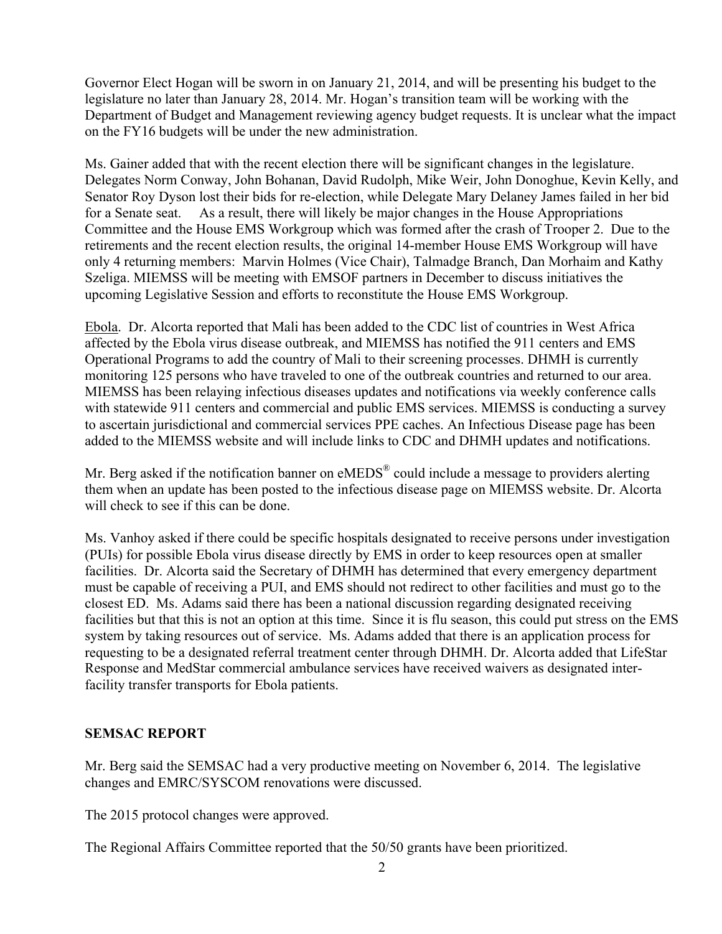Governor Elect Hogan will be sworn in on January 21, 2014, and will be presenting his budget to the legislature no later than January 28, 2014. Mr. Hogan's transition team will be working with the Department of Budget and Management reviewing agency budget requests. It is unclear what the impact on the FY16 budgets will be under the new administration.

Ms. Gainer added that with the recent election there will be significant changes in the legislature. Delegates Norm Conway, John Bohanan, David Rudolph, Mike Weir, John Donoghue, Kevin Kelly, and Senator Roy Dyson lost their bids for re-election, while Delegate Mary Delaney James failed in her bid for a Senate seat. As a result, there will likely be major changes in the House Appropriations Committee and the House EMS Workgroup which was formed after the crash of Trooper 2. Due to the retirements and the recent election results, the original 14-member House EMS Workgroup will have only 4 returning members: Marvin Holmes (Vice Chair), Talmadge Branch, Dan Morhaim and Kathy Szeliga. MIEMSS will be meeting with EMSOF partners in December to discuss initiatives the upcoming Legislative Session and efforts to reconstitute the House EMS Workgroup.

Ebola. Dr. Alcorta reported that Mali has been added to the CDC list of countries in West Africa affected by the Ebola virus disease outbreak, and MIEMSS has notified the 911 centers and EMS Operational Programs to add the country of Mali to their screening processes. DHMH is currently monitoring 125 persons who have traveled to one of the outbreak countries and returned to our area. MIEMSS has been relaying infectious diseases updates and notifications via weekly conference calls with statewide 911 centers and commercial and public EMS services. MIEMSS is conducting a survey to ascertain jurisdictional and commercial services PPE caches. An Infectious Disease page has been added to the MIEMSS website and will include links to CDC and DHMH updates and notifications.

Mr. Berg asked if the notification banner on eMEDS<sup>®</sup> could include a message to providers alerting them when an update has been posted to the infectious disease page on MIEMSS website. Dr. Alcorta will check to see if this can be done.

Ms. Vanhoy asked if there could be specific hospitals designated to receive persons under investigation (PUIs) for possible Ebola virus disease directly by EMS in order to keep resources open at smaller facilities. Dr. Alcorta said the Secretary of DHMH has determined that every emergency department must be capable of receiving a PUI, and EMS should not redirect to other facilities and must go to the closest ED. Ms. Adams said there has been a national discussion regarding designated receiving facilities but that this is not an option at this time. Since it is flu season, this could put stress on the EMS system by taking resources out of service. Ms. Adams added that there is an application process for requesting to be a designated referral treatment center through DHMH. Dr. Alcorta added that LifeStar Response and MedStar commercial ambulance services have received waivers as designated interfacility transfer transports for Ebola patients.

## **SEMSAC REPORT**

Mr. Berg said the SEMSAC had a very productive meeting on November 6, 2014. The legislative changes and EMRC/SYSCOM renovations were discussed.

The 2015 protocol changes were approved.

The Regional Affairs Committee reported that the 50/50 grants have been prioritized.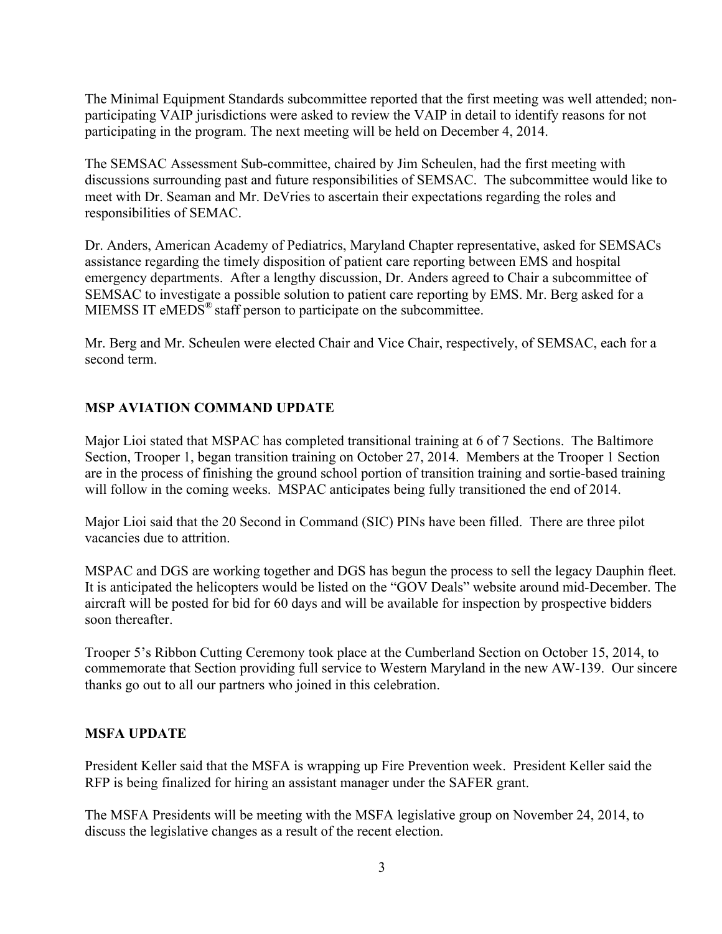The Minimal Equipment Standards subcommittee reported that the first meeting was well attended; nonparticipating VAIP jurisdictions were asked to review the VAIP in detail to identify reasons for not participating in the program. The next meeting will be held on December 4, 2014.

The SEMSAC Assessment Sub-committee, chaired by Jim Scheulen, had the first meeting with discussions surrounding past and future responsibilities of SEMSAC. The subcommittee would like to meet with Dr. Seaman and Mr. DeVries to ascertain their expectations regarding the roles and responsibilities of SEMAC.

Dr. Anders, American Academy of Pediatrics, Maryland Chapter representative, asked for SEMSACs assistance regarding the timely disposition of patient care reporting between EMS and hospital emergency departments. After a lengthy discussion, Dr. Anders agreed to Chair a subcommittee of SEMSAC to investigate a possible solution to patient care reporting by EMS. Mr. Berg asked for a MIEMSS IT eMEDS<sup>®</sup> staff person to participate on the subcommittee.

Mr. Berg and Mr. Scheulen were elected Chair and Vice Chair, respectively, of SEMSAC, each for a second term.

# **MSP AVIATION COMMAND UPDATE**

Major Lioi stated that MSPAC has completed transitional training at 6 of 7 Sections. The Baltimore Section, Trooper 1, began transition training on October 27, 2014. Members at the Trooper 1 Section are in the process of finishing the ground school portion of transition training and sortie-based training will follow in the coming weeks. MSPAC anticipates being fully transitioned the end of 2014.

Major Lioi said that the 20 Second in Command (SIC) PINs have been filled. There are three pilot vacancies due to attrition.

MSPAC and DGS are working together and DGS has begun the process to sell the legacy Dauphin fleet. It is anticipated the helicopters would be listed on the "GOV Deals" website around mid-December. The aircraft will be posted for bid for 60 days and will be available for inspection by prospective bidders soon thereafter.

Trooper 5's Ribbon Cutting Ceremony took place at the Cumberland Section on October 15, 2014, to commemorate that Section providing full service to Western Maryland in the new AW-139. Our sincere thanks go out to all our partners who joined in this celebration.

## **MSFA UPDATE**

President Keller said that the MSFA is wrapping up Fire Prevention week. President Keller said the RFP is being finalized for hiring an assistant manager under the SAFER grant.

The MSFA Presidents will be meeting with the MSFA legislative group on November 24, 2014, to discuss the legislative changes as a result of the recent election.